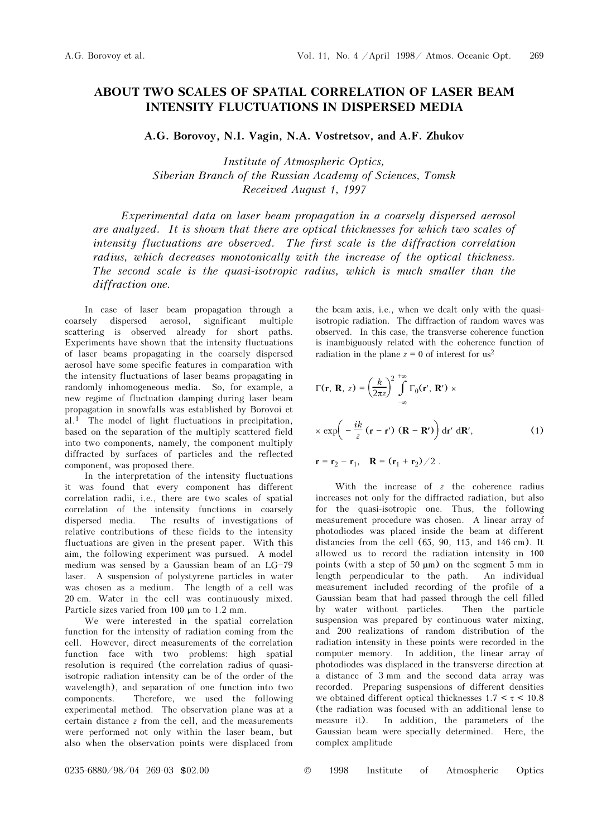## ABOUT TWO SCALES OF SPATIAL CORRELATION OF LASER BEAM INTENSITY FLUCTUATIONS IN DISPERSED MEDIA

A.G. Borovoy, N.I. Vagin, N.A. Vostretsov, and A.F. Zhukov

Institute of Atmospheric Optics, Siberian Branch of the Russian Academy of Sciences, Tomsk Received August 1, 1997

Experimental data on laser beam propagation in a coarsely dispersed aerosol are analyzed. It is shown that there are optical thicknesses for which two scales of intensity fluctuations are observed. The first scale is the diffraction correlation radius, which decreases monotonically with the increase of the optical thickness. The second scale is the quasi-isotropic radius, which is much smaller than the diffraction one.

In case of laser beam propagation through a coarsely dispersed aerosol, significant multiple scattering is observed already for short paths. Experiments have shown that the intensity fluctuations of laser beams propagating in the coarsely dispersed aerosol have some specific features in comparation with the intensity fluctuations of laser beams propagating in randomly inhomogeneous media. So, for example, a new regime of fluctuation damping during laser beam propagation in snowfalls was established by Borovoi et al.1 The model of light fluctuations in precipitation, based on the separation of the multiply scattered field into two components, namely, the component multiply diffracted by surfaces of particles and the reflected component, was proposed there.

In the interpretation of the intensity fluctuations it was found that every component has different correlation radii, i.e., there are two scales of spatial correlation of the intensity functions in coarsely dispersed media. The results of investigations of relative contributions of these fields to the intensity fluctuations are given in the present paper. With this aim, the following experiment was pursued. A model medium was sensed by a Gaussian beam of an  $LG-79$ laser. A suspension of polystyrene particles in water was chosen as a medium. The length of a cell was 20 cm. Water in the cell was continuously mixed. Particle sizes varied from 100 μm to 1.2 mm.

We were interested in the spatial correlation function for the intensity of radiation coming from the cell. However, direct measurements of the correlation function face with two problems: high spatial resolution is required (the correlation radius of quasiisotropic radiation intensity can be of the order of the wavelength), and separation of one function into two components. Therefore, we used the following experimental method. The observation plane was at a certain distance z from the cell, and the measurements were performed not only within the laser beam, but also when the observation points were displaced from the beam axis, i.e., when we dealt only with the quasiisotropic radiation. The diffraction of random waves was observed. In this case, the transverse coherence function is inambiguously related with the coherence function of radiation in the plane  $z = 0$  of interest for us<sup>2</sup>

$$
\Gamma(\mathbf{r}, \mathbf{R}, z) = \left(\frac{k}{2\pi z}\right)^2 \int_{-\infty}^{+\infty} \Gamma_0(\mathbf{r}', \mathbf{R}') \times \exp\left(-\frac{ik}{z} \left(\mathbf{r} - \mathbf{r}'\right) \left(\mathbf{R} - \mathbf{R}'\right)\right) d\mathbf{r}' d\mathbf{R}',\tag{1}
$$

$$
r = r_2 - r_1, \quad R = (r_1 + r_2)/2 \ .
$$

With the increase of  $z$  the coherence radius increases not only for the diffracted radiation, but also for the quasi-isotropic one. Thus, the following measurement procedure was chosen. A linear array of photodiodes was placed inside the beam at different distancies from the cell (65, 90, 115, and 146 cm). It allowed us to record the radiation intensity in 100 points (with a step of  $50 \mu m$ ) on the segment 5 mm in length perpendicular to the path. An individual measurement included recording of the profile of a Gaussian beam that had passed through the cell filled by water without particles. Then the particle suspension was prepared by continuous water mixing, and 200 realizations of random distribution of the radiation intensity in these points were recorded in the computer memory. In addition, the linear array of photodiodes was displaced in the transverse direction at a distance of 3 mm and the second data array was recorded. Preparing suspensions of different densities we obtained different optical thicknesses  $1.7 < \tau < 10.8$ (the radiation was focused with an additional lense to measure it). In addition, the parameters of the Gaussian beam were specially determined. Here, the complex amplitude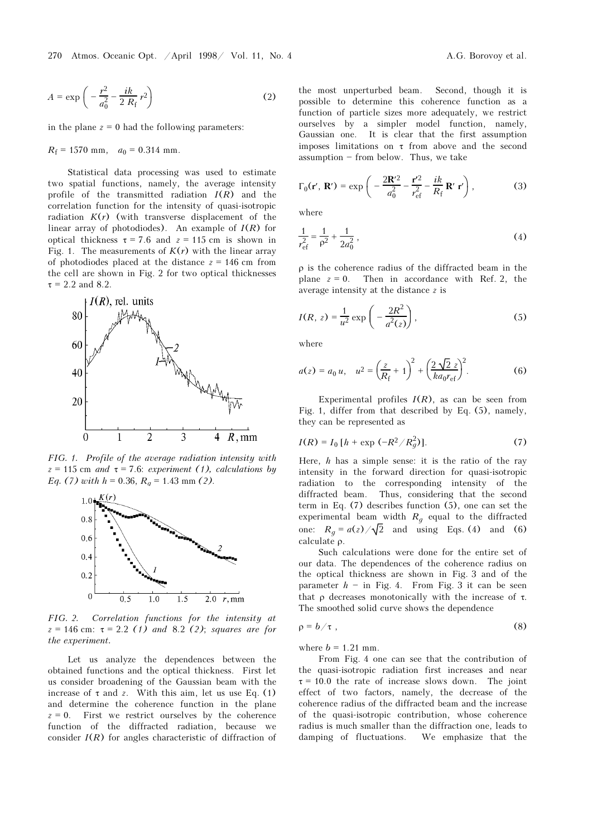$$
A = \exp\left(-\frac{r^2}{a_0^2} - \frac{ik}{2R_f}r^2\right) \tag{2}
$$

in the plane  $z = 0$  had the following parameters:

$$
R_{\rm f} = 1570 \text{ mm}, \quad a_0 = 0.314 \text{ mm}.
$$

Statistical data processing was used to estimate two spatial functions, namely, the average intensity profile of the transmitted radiation  $I(R)$  and the correlation function for the intensity of quasi-isotropic radiation  $K(r)$  (with transverse displacement of the linear array of photodiodes). An example of  $I(R)$  for optical thickness  $\tau = 7.6$  and  $z = 115$  cm is shown in Fig. 1. The measurements of  $K(r)$  with the linear array of photodiodes placed at the distance  $z = 146$  cm from the cell are shown in Fig. 2 for two optical thicknesses  $\tau$  = 2.2 and 8.2.



FIG. 1. Profile of the average radiation intensity with  $z = 115$  cm and  $\tau = 7.6$ : experiment (1), calculations by Eq. (7) with  $h = 0.36$ ,  $R<sub>a</sub> = 1.43$  mm (2).



FIG. 2. Correlation functions for the intensity at  $z = 146$  cm:  $\tau = 2.2$  (1) and 8.2 (2); squares are for the experiment.

Let us analyze the dependences between the obtained functions and the optical thickness. First let us consider broadening of the Gaussian beam with the increase of  $\tau$  and z. With this aim, let us use Eq. (1) and determine the coherence function in the plane  $z = 0$ . First we restrict ourselves by the coherence function of the diffracted radiation, because we consider  $I(R)$  for angles characteristic of diffraction of the most unperturbed beam. Second, though it is possible to determine this coherence function as a function of particle sizes more adequately, we restrict ourselves by a simpler model function, namely, Gaussian one. It is clear that the first assumption imposes limitations on  $\tau$  from above and the second  $a$ ssumption  $-$  from below. Thus, we take

$$
\Gamma_0(\mathbf{r}', \mathbf{R}') = \exp\left(-\frac{2\mathbf{R}'^2}{a_0^2} - \frac{\mathbf{r}'^2}{r_{\rm ef}^2} - \frac{ik}{R_{\rm f}} \mathbf{R}' \mathbf{r}'\right),\tag{3}
$$

where

$$
\frac{1}{r_{\rm ef}^2} = \frac{1}{\rho^2} + \frac{1}{2a_0^2} \,,\tag{4}
$$

ρ is the coherence radius of the diffracted beam in the plane  $z = 0$ . Then in accordance with Ref. 2, the average intensity at the distance z is

$$
I(R, z) = \frac{1}{u^2} \exp\left(-\frac{2R^2}{a^2(z)}\right),
$$
 (5)

where

$$
a(z) = a_0 u, \quad u^2 = \left(\frac{z}{R_{\rm f}} + 1\right)^2 + \left(\frac{2\sqrt{2}z}{ka_0 r_{\rm ef}}\right)^2. \tag{6}
$$

Experimental profiles  $I(R)$ , as can be seen from Fig. 1, differ from that described by Eq. (5), namely, they can be represented as

$$
I(R) = I_0 [h + \exp(-R^2/R_g^2)].
$$
 (7)

Here,  $h$  has a simple sense: it is the ratio of the ray intensity in the forward direction for quasi-isotropic radiation to the corresponding intensity of the diffracted beam. Thus, considering that the second term in Eq. (7) describes function (5), one can set the experimental beam width  $R_q$  equal to the diffracted one:  $R_g = a(z) / \sqrt{2}$  and using Eqs. (4) and (6) calculate ρ.

Such calculations were done for the entire set of our data. The dependences of the coherence radius on the optical thickness are shown in Fig. 3 and of the parameter  $h - in$  Fig. 4. From Fig. 3 it can be seen that ρ decreases monotonically with the increase of  $τ$ . The smoothed solid curve shows the dependence

$$
\rho = b/\tau \tag{8}
$$

where  $b = 1.21$  mm.

From Fig. 4 one can see that the contribution of the quasi-isotropic radiation first increases and near  $\tau = 10.0$  the rate of increase slows down. The joint effect of two factors, namely, the decrease of the coherence radius of the diffracted beam and the increase of the quasi-isotropic contribution, whose coherence radius is much smaller than the diffraction one, leads to damping of fluctuations. We emphasize that the